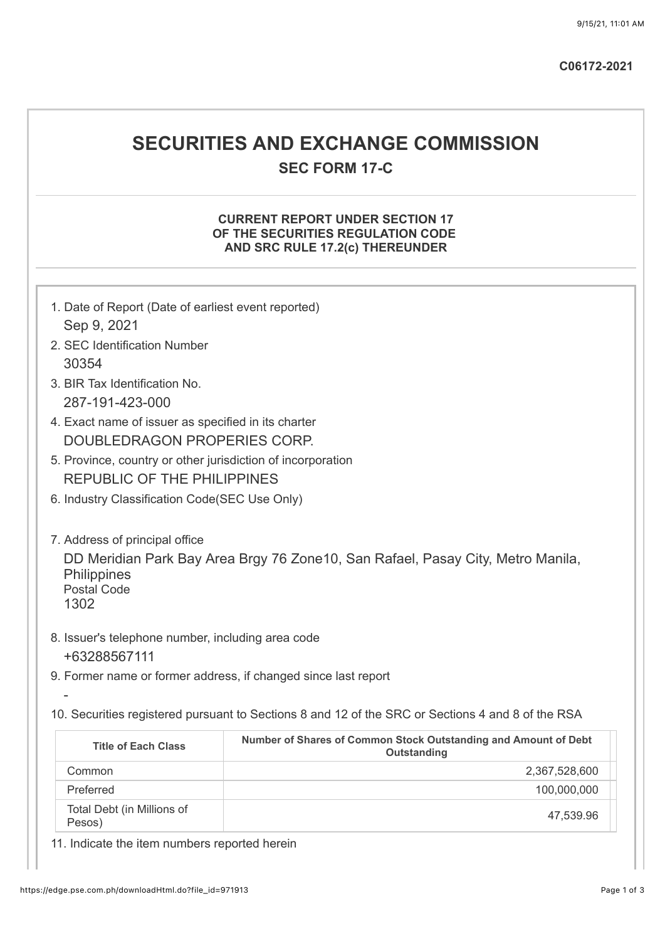# **SECURITIES AND EXCHANGE COMMISSION SEC FORM 17-C**

## **CURRENT REPORT UNDER SECTION 17 OF THE SECURITIES REGULATION CODE AND SRC RULE 17.2(c) THEREUNDER**

| 1. Date of Report (Date of earliest event reported)<br>Sep 9, 2021<br>2. SEC Identification Number<br>30354<br>3. BIR Tax Identification No.<br>287-191-423-000<br>4. Exact name of issuer as specified in its charter<br>DOUBLEDRAGON PROPERIES CORP.<br>5. Province, country or other jurisdiction of incorporation<br>REPUBLIC OF THE PHILIPPINES<br>6. Industry Classification Code(SEC Use Only)<br>7. Address of principal office<br><b>Philippines</b><br><b>Postal Code</b><br>1302<br>8. Issuer's telephone number, including area code<br>+63288567111<br>9. Former name or former address, if changed since last report | DD Meridian Park Bay Area Brgy 76 Zone 10, San Rafael, Pasay City, Metro Manila, |  |  |  |
|------------------------------------------------------------------------------------------------------------------------------------------------------------------------------------------------------------------------------------------------------------------------------------------------------------------------------------------------------------------------------------------------------------------------------------------------------------------------------------------------------------------------------------------------------------------------------------------------------------------------------------|----------------------------------------------------------------------------------|--|--|--|
| 10. Securities registered pursuant to Sections 8 and 12 of the SRC or Sections 4 and 8 of the RSA                                                                                                                                                                                                                                                                                                                                                                                                                                                                                                                                  |                                                                                  |  |  |  |
| <b>Title of Each Class</b>                                                                                                                                                                                                                                                                                                                                                                                                                                                                                                                                                                                                         | Number of Shares of Common Stock Outstanding and Amount of Debt<br>Outstanding   |  |  |  |
| Common                                                                                                                                                                                                                                                                                                                                                                                                                                                                                                                                                                                                                             | 2,367,528,600                                                                    |  |  |  |
| Preferred                                                                                                                                                                                                                                                                                                                                                                                                                                                                                                                                                                                                                          | 100,000,000                                                                      |  |  |  |
| Total Debt (in Millions of<br>Pesos)                                                                                                                                                                                                                                                                                                                                                                                                                                                                                                                                                                                               | 47,539.96                                                                        |  |  |  |

11. Indicate the item numbers reported herein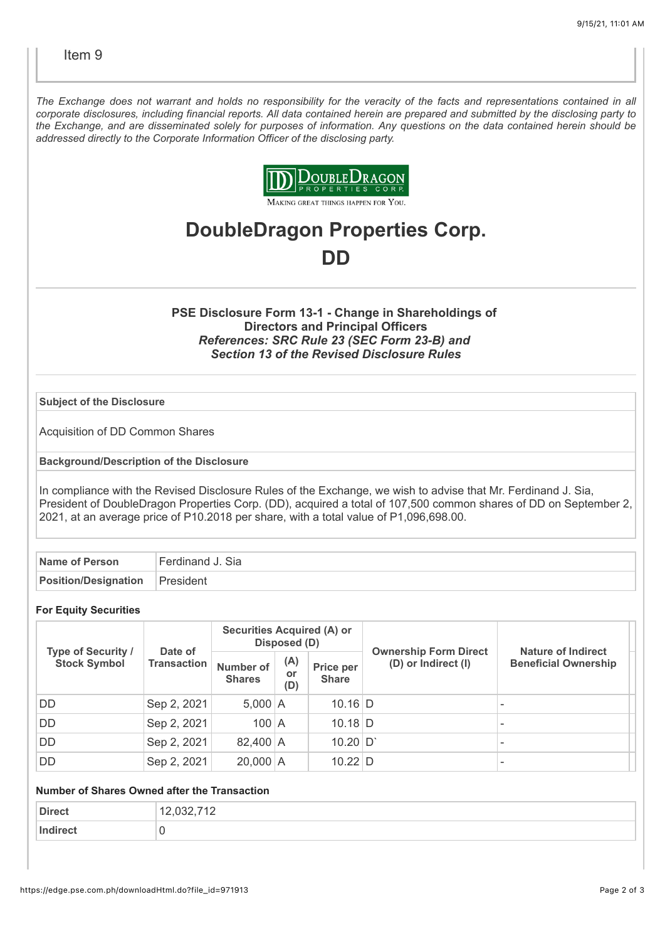*The Exchange does not warrant and holds no responsibility for the veracity of the facts and representations contained in all corporate disclosures, including financial reports. All data contained herein are prepared and submitted by the disclosing party to the Exchange, and are disseminated solely for purposes of information. Any questions on the data contained herein should be addressed directly to the Corporate Information Officer of the disclosing party.*



## **DoubleDragon Properties Corp. DD**

## **PSE Disclosure Form 13-1 - Change in Shareholdings of Directors and Principal Officers** *References: SRC Rule 23 (SEC Form 23-B) and Section 13 of the Revised Disclosure Rules*

#### **Subject of the Disclosure**

Acquisition of DD Common Shares

#### **Background/Description of the Disclosure**

In compliance with the Revised Disclosure Rules of the Exchange, we wish to advise that Mr. Ferdinand J. Sia, President of DoubleDragon Properties Corp. (DD), acquired a total of 107,500 common shares of DD on September 2, 2021, at an average price of P10.2018 per share, with a total value of P1,096,698.00.

| Name of Person              | Ferdinand J. Sia |
|-----------------------------|------------------|
| <b>Position/Designation</b> | President        |

#### **For Equity Securities**

|                                           |                        | Securities Acquired (A) or<br>Disposed (D) |                  |                           |                                                     | Nature of Indirect          |
|-------------------------------------------|------------------------|--------------------------------------------|------------------|---------------------------|-----------------------------------------------------|-----------------------------|
| Type of Security /<br><b>Stock Symbol</b> | Date of<br>Transaction | Number of<br><b>Shares</b>                 | (A)<br>or<br>(D) | Price per<br><b>Share</b> | <b>Ownership Form Direct</b><br>(D) or Indirect (I) | <b>Beneficial Ownership</b> |
| DD                                        | Sep 2, 2021            | $5,000$ A                                  |                  | $10.16$ D                 |                                                     |                             |
| <b>DD</b>                                 | Sep 2, 2021            | $100$ A                                    |                  | $10.18$ D                 |                                                     |                             |
| <b>DD</b>                                 | Sep 2, 2021            | 82,400 A                                   |                  | 10.20 D'                  |                                                     |                             |
| <b>DD</b>                                 | Sep 2, 2021            | $20,000$ A                                 |                  | $10.22$ D                 |                                                     |                             |

### **Number of Shares Owned after the Transaction**

| <b>Direct</b> | 740<br>$\sim$<br>$\sim$<br>$-$ , $-$                 |
|---------------|------------------------------------------------------|
| Indirect      | $\hat{\phantom{a}}$<br>◡<br>$\overline{\phantom{a}}$ |